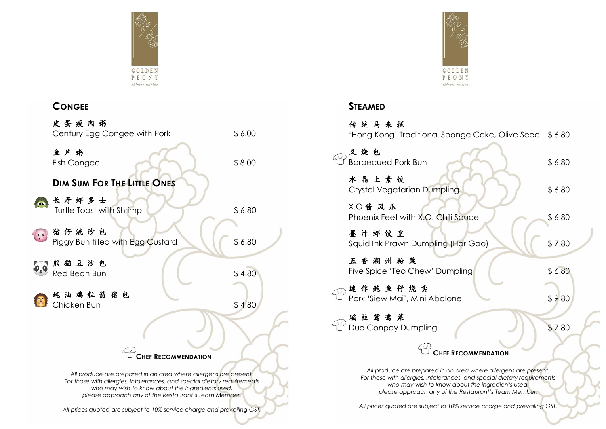

## **CONGEE**

|                  | 皮蛋瘦肉粥<br>Century Egg Congee with Pork                                                                                                                                                                                                                    | \$6.00 |
|------------------|----------------------------------------------------------------------------------------------------------------------------------------------------------------------------------------------------------------------------------------------------------|--------|
|                  | 鱼片粥<br>Fish Congee                                                                                                                                                                                                                                       | \$8.00 |
|                  | <b>DIM SUM FOR THE LITTLE ONES</b>                                                                                                                                                                                                                       |        |
|                  | 长寿虾多士<br>Turtle Toast with Shrimp                                                                                                                                                                                                                        | \$6.80 |
|                  | 猪仔流沙包<br>Piggy Bun filled with Egg Custard                                                                                                                                                                                                               | \$6.80 |
| $\mathbf{e}_z$ o | 熊猫豆沙包<br>Red Bean Bun                                                                                                                                                                                                                                    | \$4.80 |
|                  | 蚝油鸡粒箭猪包<br>Chicken Bun                                                                                                                                                                                                                                   | \$4.80 |
|                  |                                                                                                                                                                                                                                                          |        |
|                  | <b>CHEF RECOMMENDATION</b>                                                                                                                                                                                                                               |        |
|                  | All produce are prepared in an area where allergens are present.<br>For those with allergies, intolerances, and special dietary requirements<br>who may wish to know about the ingredients used,<br>please approach any of the Restaurant's Team Member. |        |

*All prices quoted are subject to 10% service charge and prevailing GST.*

GOLDEN<br>PEONY chinese cuisine

## **STEAMED**

| 传统马来糕                                                                                                                                                                                                                                                    |        |
|----------------------------------------------------------------------------------------------------------------------------------------------------------------------------------------------------------------------------------------------------------|--------|
| 'Hong Kong' Traditional Sponge Cake, Olive Seed \$6.80                                                                                                                                                                                                   |        |
| 叉烧包<br><b>Barbecued Pork Bun</b>                                                                                                                                                                                                                         | \$6.80 |
| 水晶上素饺<br>Crystal Vegetarian Dumpling                                                                                                                                                                                                                     | \$6.80 |
| <b>X.〇酱 风 爪</b><br>Phoenix Feet with X.O. Chili Sauce                                                                                                                                                                                                    | \$6.80 |
| 墨汁虾饺皇<br>Squid Ink Prawn Dumpling (Har Gao)                                                                                                                                                                                                              | \$7.80 |
| 五香潮州粉菓<br>Five Spice 'Teo Chew' Dumpling                                                                                                                                                                                                                 | \$6.80 |
| 迷你鲍鱼仔烧卖<br>Pork 'Siew Mai', Mini Abalone                                                                                                                                                                                                                 | \$9.80 |
| 瑶柱鸳鸯菓<br>Duo Conpoy Dumpling                                                                                                                                                                                                                             | \$7.80 |
| <b>CHEF RECOMMENDATION</b>                                                                                                                                                                                                                               |        |
| All produce are prepared in an area where allergens are present.<br>For those with allergies, intolerances, and special dietary requirements<br>who may wish to know about the ingredients used,<br>please approach any of the Restaurant's Team Member. |        |

*All prices quoted are subject to 10% service charge and prevailing GST.*